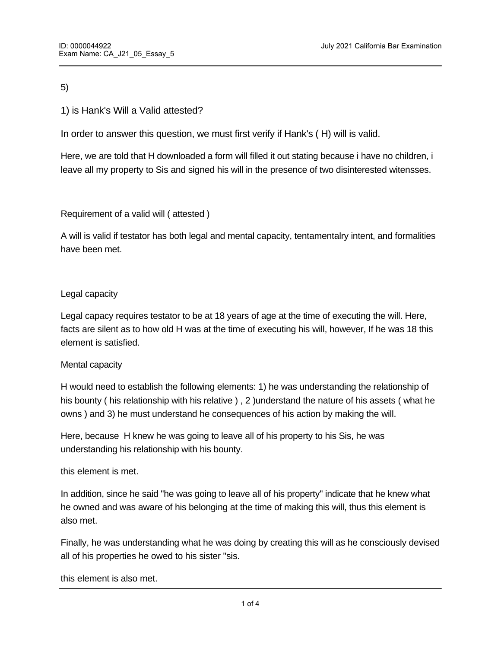5)

# 1) is Hank's Will a Valid attested?

In order to answer this question, we must first verify if Hank's ( H) will is valid.

Here, we are told that H downloaded a form will filled it out stating because i have no children, i leave all my property to Sis and signed his will in the presence of two disinterested witensses.

Requirement of a valid will ( attested )

A will is valid if testator has both legal and mental capacity, tentamentalry intent, and formalities have been met.

## Legal capacity

Legal capacy requires testator to be at 18 years of age at the time of executing the will. Here, facts are silent as to how old H was at the time of executing his will, however, If he was 18 this element is satisfied.

#### Mental capacity

H would need to establish the following elements: 1) he was understanding the relationship of his bounty ( his relationship with his relative ), 2 ) understand the nature of his assets ( what he owns ) and 3) he must understand he consequences of his action by making the will.

Here, because H knew he was going to leave all of his property to his Sis, he was understanding his relationship with his bounty.

#### this element is met.

In addition, since he said "he was going to leave all of his property" indicate that he knew what he owned and was aware of his belonging at the time of making this will, thus this element is also met.

Finally, he was understanding what he was doing by creating this will as he consciously devised all of his properties he owed to his sister "sis.

this element is also met.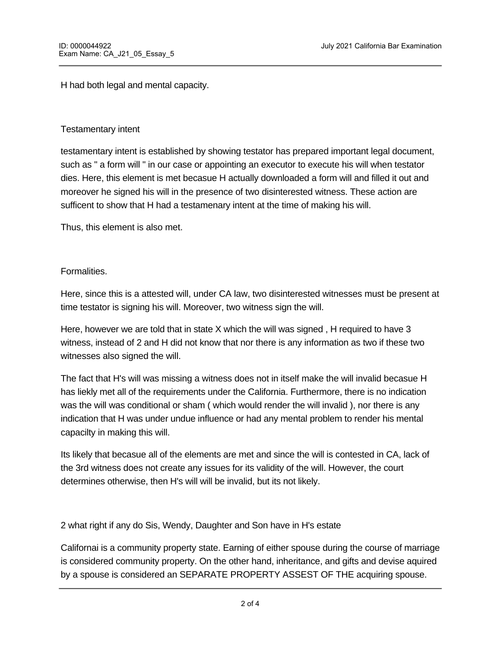this element is also met.

H had both legal and mental capacity.

### Testamentary intent

testamentary intent is established by showing testator has prepared important legal document, such as " a form will " in our case or appointing an executor to execute his will when testator dies. Here, this element is met becasue H actually downloaded a form will and filled it out and moreover he signed his will in the presence of two disinterested witness. These action are sufficent to show that H had a testamenary intent at the time of making his will.

Thus, this element is also met.

## Formalities.

Here, since this is a attested will, under CA law, two disinterested witnesses must be present at time testator is signing his will. Moreover, two witness sign the will.

Here, however we are told that in state X which the will was signed , H required to have 3 witness, instead of 2 and H did not know that nor there is any information as two if these two witnesses also signed the will.

The fact that H's will was missing a witness does not in itself make the will invalid becasue H has liekly met all of the requirements under the California. Furthermore, there is no indication was the will was conditional or sham ( which would render the will invalid ), nor there is any indication that H was under undue influence or had any mental problem to render his mental capacilty in making this will.

Its likely that becasue all of the elements are met and since the will is contested in CA, lack of the 3rd witness does not create any issues for its validity of the will. However, the court determines otherwise, then H's will will be invalid, but its not likely.

2 what right if any do Sis, Wendy, Daughter and Son have in H's estate

Californai is a community property state. Earning of either spouse during the course of marriage is considered community property. On the other hand, inheritance, and gifts and devise aquired by a spouse is considered an SEPARATE PROPERTY ASSEST OF THE acquiring spouse.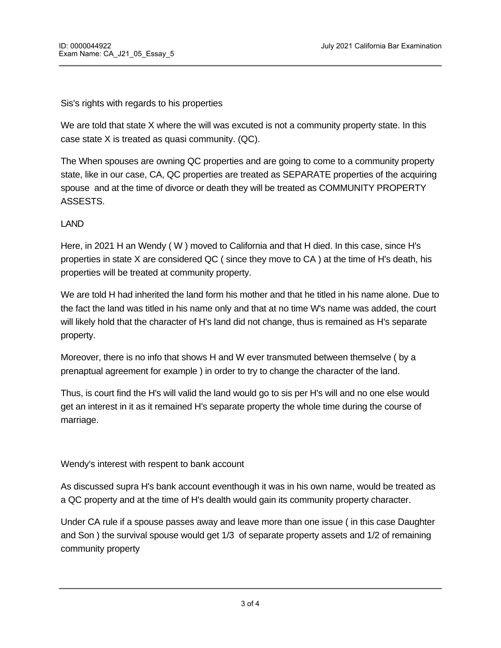Sis's rights with regards to his properties

We are told that state X where the will was excuted is not a community property state. In this case state X is treated as quasi community. (QC).

The When spouses are owning QC properties and are going to come to a community property state, like in our case, CA, QC properties are treated as SEPARATE properties of the acquiring spouse and at the time of divorce or death they will be treated as COMMUNITY PROPERTY ASSESTS.

## LAND

Here, in 2021 H an Wendy ( W ) moved to California and that H died. In this case, since H's properties in state X are considered QC ( since they move to CA ) at the time of H's death, his properties will be treated at community property.

We are told H had inherited the land form his mother and that he titled in his name alone. Due to the fact the land was titled in his name only and that at no time W's name was added, the court will likely hold that the character of H's land did not change, thus is remained as H's separate property.

Moreover, there is no info that shows H and W ever transmuted between themselve ( by a prenaptual agreement for example ) in order to try to change the character of the land.

Thus, is court find the H's will valid the land would go to sis per H's will and no one else would get an interest in it as it remained H's separate property the whole time during the course of marriage.

Wendy's interest with respent to bank account

As discussed supra H's bank account eventhough it was in his own name, would be treated as a QC property and at the time of H's dealth would gain its community property character.

Under CA rule if a spouse passes away and leave more than one issue ( in this case Daughter and Son ) the survival spouse would get 1/3 of separate property assets and 1/2 of remaining community property